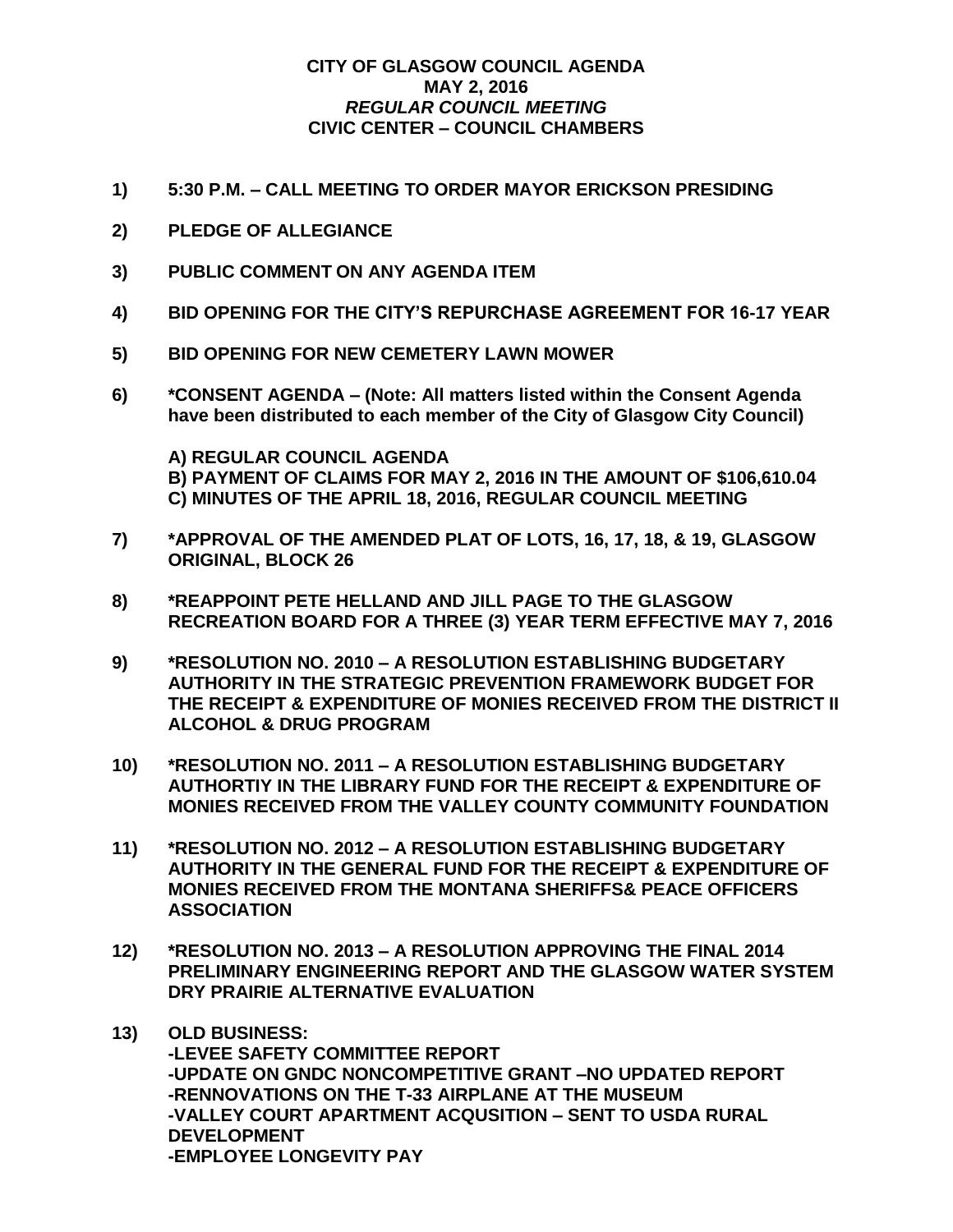## **CITY OF GLASGOW COUNCIL AGENDA MAY 2, 2016** *REGULAR COUNCIL MEETING* **CIVIC CENTER – COUNCIL CHAMBERS**

- **1) 5:30 P.M. – CALL MEETING TO ORDER MAYOR ERICKSON PRESIDING**
- **2) PLEDGE OF ALLEGIANCE**
- **3) PUBLIC COMMENT ON ANY AGENDA ITEM**
- **4) BID OPENING FOR THE CITY'S REPURCHASE AGREEMENT FOR 16-17 YEAR**
- **5) BID OPENING FOR NEW CEMETERY LAWN MOWER**
- **6) \*CONSENT AGENDA – (Note: All matters listed within the Consent Agenda have been distributed to each member of the City of Glasgow City Council)**

**A) REGULAR COUNCIL AGENDA B) PAYMENT OF CLAIMS FOR MAY 2, 2016 IN THE AMOUNT OF \$106,610.04 C) MINUTES OF THE APRIL 18, 2016, REGULAR COUNCIL MEETING**

- **7) \*APPROVAL OF THE AMENDED PLAT OF LOTS, 16, 17, 18, & 19, GLASGOW ORIGINAL, BLOCK 26**
- **8) \*REAPPOINT PETE HELLAND AND JILL PAGE TO THE GLASGOW RECREATION BOARD FOR A THREE (3) YEAR TERM EFFECTIVE MAY 7, 2016**
- **9) \*RESOLUTION NO. 2010 – A RESOLUTION ESTABLISHING BUDGETARY AUTHORITY IN THE STRATEGIC PREVENTION FRAMEWORK BUDGET FOR THE RECEIPT & EXPENDITURE OF MONIES RECEIVED FROM THE DISTRICT II ALCOHOL & DRUG PROGRAM**
- **10) \*RESOLUTION NO. 2011 – A RESOLUTION ESTABLISHING BUDGETARY AUTHORTIY IN THE LIBRARY FUND FOR THE RECEIPT & EXPENDITURE OF MONIES RECEIVED FROM THE VALLEY COUNTY COMMUNITY FOUNDATION**
- **11) \*RESOLUTION NO. 2012 – A RESOLUTION ESTABLISHING BUDGETARY AUTHORITY IN THE GENERAL FUND FOR THE RECEIPT & EXPENDITURE OF MONIES RECEIVED FROM THE MONTANA SHERIFFS& PEACE OFFICERS ASSOCIATION**
- **12) \*RESOLUTION NO. 2013 – A RESOLUTION APPROVING THE FINAL 2014 PRELIMINARY ENGINEERING REPORT AND THE GLASGOW WATER SYSTEM DRY PRAIRIE ALTERNATIVE EVALUATION**
- **13) OLD BUSINESS: -LEVEE SAFETY COMMITTEE REPORT -UPDATE ON GNDC NONCOMPETITIVE GRANT –NO UPDATED REPORT -RENNOVATIONS ON THE T-33 AIRPLANE AT THE MUSEUM -VALLEY COURT APARTMENT ACQUSITION – SENT TO USDA RURAL DEVELOPMENT -EMPLOYEE LONGEVITY PAY**